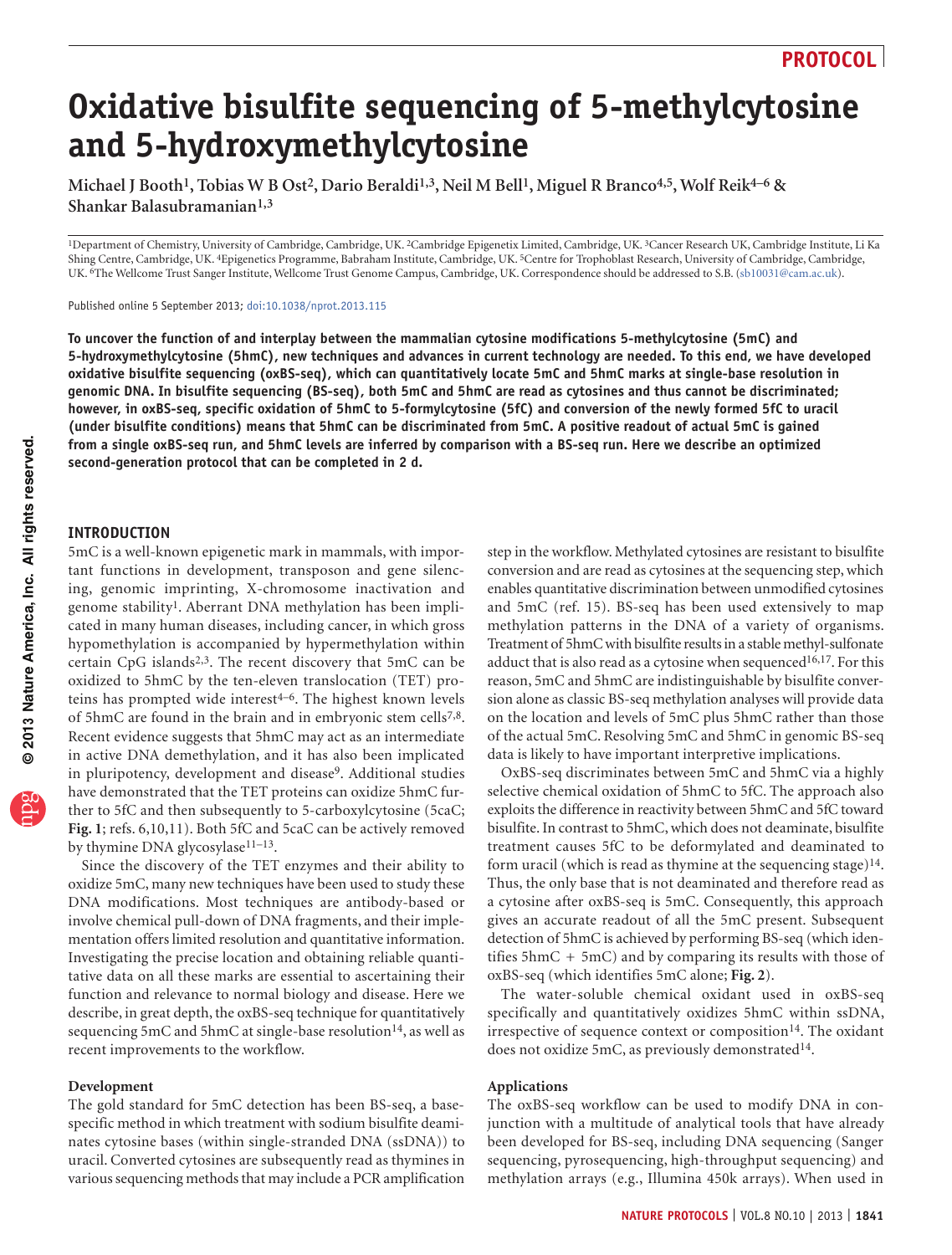# **Oxidative bisulfite sequencing of 5-methylcytosine and 5-hydroxymethylcytosine**

Michael J Booth<sup>1</sup>, Tobias W B Ost<sup>2</sup>, Dario Beraldi<sup>1,3</sup>, Neil M Bell<sup>1</sup>, Miguel R Branco<sup>4,5</sup>, Wolf Reik<sup>4–6</sup> & **Shankar Balasubramanian1,3**

1Department of Chemistry, University of Cambridge, Cambridge, UK. 2Cambridge Epigenetix Limited, Cambridge, UK. 3Cancer Research UK, Cambridge Institute, Li Ka Shing Centre, Cambridge, UK. 4Epigenetics Programme, Babraham Institute, Cambridge, UK. 5Centre for Trophoblast Research, University of Cambridge, Cambridge, UK. 6The Wellcome Trust Sanger Institute, Wellcome Trust Genome Campus, Cambridge, UK. Correspondence should be addressed to S.B. (sb10031@cam.ac.uk).

Published online 5 September 2013; [doi:10.1038/nprot.2013.115](http://www.nature.com/doifinder/10.1038/nprot.2013.115)

**To uncover the function of and interplay between the mammalian cytosine modifications 5-methylcytosine (5mC) and 5-hydroxymethylcytosine (5hmC), new techniques and advances in current technology are needed. To this end, we have developed oxidative bisulfite sequencing (oxBS-seq), which can quantitatively locate 5mC and 5hmC marks at single-base resolution in genomic DNA. In bisulfite sequencing (BS-seq), both 5mC and 5hmC are read as cytosines and thus cannot be discriminated; however, in oxBS-seq, specific oxidation of 5hmC to 5-formylcytosine (5fC) and conversion of the newly formed 5fC to uracil (under bisulfite conditions) means that 5hmC can be discriminated from 5mC. A positive readout of actual 5mC is gained from a single oxBS-seq run, and 5hmC levels are inferred by comparison with a BS-seq run. Here we describe an optimized second-generation protocol that can be completed in 2 d.**

#### **INTRODUCTION**

5mC is a well-known epigenetic mark in mammals, with important functions in development, transposon and gene silencing, genomic imprinting, X-chromosome inactivation and genome stability[1](#page-10-0). Aberrant DNA methylation has been implicated in many human diseases, including cancer, in which gross hypomethylation is accompanied by hypermethylation within certain CpG islands[2,3.](#page-10-1) The recent discovery that 5mC can be oxidized to 5hmC by the ten-eleven translocation (TET) proteins has prompted wide interest<sup>4-6</sup>. The highest known levels of 5hmC are found in the brain and in embryonic stem cells<sup>7,8</sup>. Recent evidence suggests that 5hmC may act as an intermediate in active DNA demethylation, and it has also been implicated in pluripotency, development and disease<sup>[9](#page-10-4)</sup>. Additional studies have demonstrated that the TET proteins can oxidize 5hmC further to 5fC and then subsequently to 5-carboxylcytosine (5caC; **[Fig. 1](#page-1-0)**; refs. [6,10,11\)](#page-10-5). Both 5fC and 5caC can be actively removed by thymine DNA glycosylase<sup>11-13</sup>.

Since the discovery of the TET enzymes and their ability to oxidize 5mC, many new techniques have been used to study these DNA modifications. Most techniques are antibody-based or involve chemical pull-down of DNA fragments, and their implementation offers limited resolution and quantitative information. Investigating the precise location and obtaining reliable quantitative data on all these marks are essential to ascertaining their function and relevance to normal biology and disease. Here we describe, in great depth, the oxBS-seq technique for quantitatively sequencing 5mC and 5hmC at single-base resolution<sup>14</sup>, as well as recent improvements to the workflow.

#### **Development**

The gold standard for 5mC detection has been BS-seq, a basespecific method in which treatment with sodium bisulfite deaminates cytosine bases (within single-stranded DNA (ssDNA)) to uracil. Converted cytosines are subsequently read as thymines in various sequencing methods that may include a PCR amplification step in the workflow. Methylated cytosines are resistant to bisulfite conversion and are read as cytosines at the sequencing step, which enables quantitative discrimination between unmodified cytosines and 5mC (ref. [15\)](#page-10-8). BS-seq has been used extensively to map methylation patterns in the DNA of a variety of organisms. Treatment of 5hmC with bisulfite results in a stable methyl-sulfonate adduct that is also read as a cytosine when sequenced<sup>16,17</sup>. For this reason, 5mC and 5hmC are indistinguishable by bisulfite conversion alone as classic BS-seq methylation analyses will provide data on the location and levels of 5mC plus 5hmC rather than those of the actual 5mC. Resolving 5mC and 5hmC in genomic BS-seq data is likely to have important interpretive implications.

OxBS-seq discriminates between 5mC and 5hmC via a highly selective chemical oxidation of 5hmC to 5fC. The approach also exploits the difference in reactivity between 5hmC and 5fC toward bisulfite. In contrast to 5hmC, which does not deaminate, bisulfite treatment causes 5fC to be deformylated and deaminated to form uracil (which is read as thymine at the sequencing stage) $14$ . Thus, the only base that is not deaminated and therefore read as a cytosine after oxBS-seq is 5mC. Consequently, this approach gives an accurate readout of all the 5mC present. Subsequent detection of 5hmC is achieved by performing BS-seq (which identifies  $5\text{hmC} + 5\text{mC}$  and by comparing its results with those of oxBS-seq (which identifies 5mC alone; **[Fig. 2](#page-1-1)**).

The water-soluble chemical oxidant used in oxBS-seq specifically and quantitatively oxidizes 5hmC within ssDNA, irrespective of sequence context or composition<sup>14</sup>. The oxidant does not oxidize 5mC, as previously demonstrated<sup>14</sup>.

#### **Applications**

The oxBS-seq workflow can be used to modify DNA in conjunction with a multitude of analytical tools that have already been developed for BS-seq, including DNA sequencing (Sanger sequencing, pyrosequencing, high-throughput sequencing) and methylation arrays (e.g., Illumina 450k arrays). When used in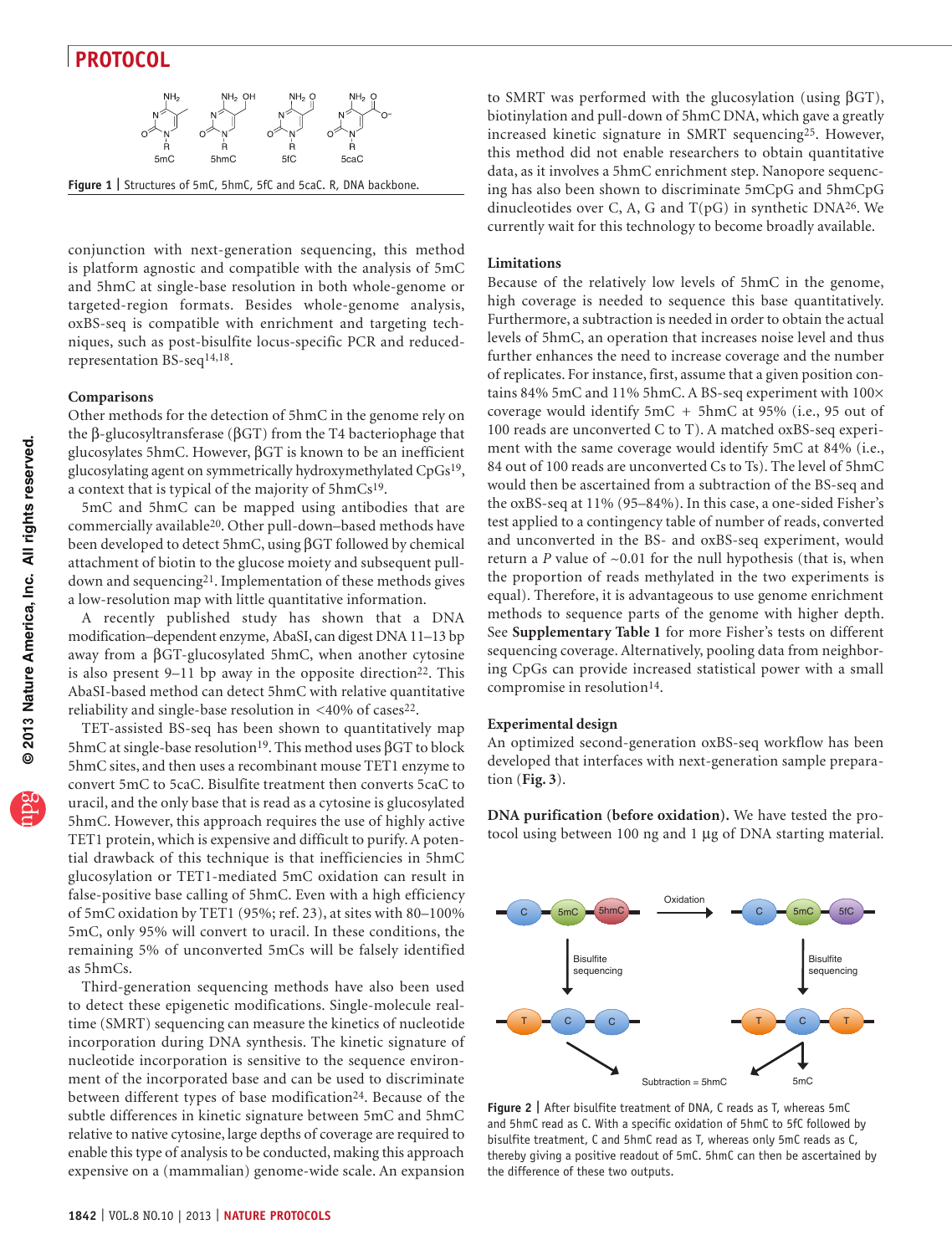

<span id="page-1-0"></span>conjunction with next-generation sequencing, this method is platform agnostic and compatible with the analysis of 5mC and 5hmC at single-base resolution in both whole-genome or targeted-region formats. Besides whole-genome analysis, oxBS-seq is compatible with enrichment and targeting techniques, such as post-bisulfite locus-specific PCR and reducedrepresentation BS-seq[14,18](#page-10-7).

#### **Comparisons**

Other methods for the detection of 5hmC in the genome rely on the β-glucosyltransferase (βGT) from the T4 bacteriophage that glucosylates 5hmC. However, βGT is known to be an inefficient glucosylating agent on symmetrically hydroxymethylated CpG[s19,](#page-10-10) a context that is typical of the majority of 5hmC[s19.](#page-10-10)

5mC and 5hmC can be mapped using antibodies that are commercially available[20.](#page-10-11) Other pull-down–based methods have been developed to detect 5hmC, using βGT followed by chemical attachment of biotin to the glucose moiety and subsequent pulldown and sequencing[21.](#page-10-12) Implementation of these methods gives a low-resolution map with little quantitative information.

A recently published study has shown that a DNA modification–dependent enzyme, AbaSI, can digest DNA 11–13 bp away from a βGT-glucosylated 5hmC, when another cytosine is also present  $9-11$  bp away in the opposite direction<sup>22</sup>. This AbaSI-based method can detect 5hmC with relative quantitative reliability and single-base resolution in  $\langle 40\% \text{ of } \text{cases}^{22}$ .

TET-assisted BS-seq has been shown to quantitatively map 5hmC at single-base resolution<sup>19</sup>. This method uses  $β$ GT to block 5hmC sites, and then uses a recombinant mouse TET1 enzyme to convert 5mC to 5caC. Bisulfite treatment then converts 5caC to uracil, and the only base that is read as a cytosine is glucosylated 5hmC. However, this approach requires the use of highly active TET1 protein, which is expensive and difficult to purify. A potential drawback of this technique is that inefficiencies in 5hmC glucosylation or TET1-mediated 5mC oxidation can result in false-positive base calling of 5hmC. Even with a high efficiency of 5mC oxidation by TET1 (95%; ref. [23](#page-10-14)), at sites with 80–100% 5mC, only 95% will convert to uracil. In these conditions, the remaining 5% of unconverted 5mCs will be falsely identified as 5hmCs.

Third-generation sequencing methods have also been used to detect these epigenetic modifications. Single-molecule realtime (SMRT) sequencing can measure the kinetics of nucleotide incorporation during DNA synthesis. The kinetic signature of nucleotide incorporation is sensitive to the sequence environment of the incorporated base and can be used to discriminate between different types of base modification<sup>24</sup>. Because of the subtle differences in kinetic signature between 5mC and 5hmC relative to native cytosine, large depths of coverage are required to enable this type of analysis to be conducted, making this approach expensive on a (mammalian) genome-wide scale. An expansion

to SMRT was performed with the glucosylation (using βGT), biotinylation and pull-down of 5hmC DNA, which gave a greatly increased kinetic signature in SMRT sequencing[25.](#page-10-16) However, this method did not enable researchers to obtain quantitative data, as it involves a 5hmC enrichment step. Nanopore sequencing has also been shown to discriminate 5mCpG and 5hmCpG dinucleotides over C, A, G and T(pG) in synthetic DN[A26](#page-10-17). We currently wait for this technology to become broadly available.

#### **Limitations**

Because of the relatively low levels of 5hmC in the genome, high coverage is needed to sequence this base quantitatively. Furthermore, a subtraction is needed in order to obtain the actual levels of 5hmC, an operation that increases noise level and thus further enhances the need to increase coverage and the number of replicates. For instance, first, assume that a given position contains 84% 5mC and 11% 5hmC. A BS-seq experiment with 100× coverage would identify 5mC + 5hmC at 95% (i.e., 95 out of 100 reads are unconverted C to T). A matched oxBS-seq experiment with the same coverage would identify 5mC at 84% (i.e., 84 out of 100 reads are unconverted Cs to Ts). The level of 5hmC would then be ascertained from a subtraction of the BS-seq and the oxBS-seq at 11% (95–84%). In this case, a one-sided Fisher's test applied to a contingency table of number of reads, converted and unconverted in the BS- and oxBS-seq experiment, would return a *P* value of ~0.01 for the null hypothesis (that is, when the proportion of reads methylated in the two experiments is equal). Therefore, it is advantageous to use genome enrichment methods to sequence parts of the genome with higher depth. See **Supplementary Table 1** for more Fisher's tests on different sequencing coverage. Alternatively, pooling data from neighboring CpGs can provide increased statistical power with a small compromise in resolution<sup>14</sup>.

#### **Experimental design**

An optimized second-generation oxBS-seq workflow has been developed that interfaces with next-generation sample preparation (**[Fig. 3](#page-2-0)**).

**DNA purification (before oxidation).** We have tested the protocol using between 100 ng and 1 µg of DNA starting material.



<span id="page-1-1"></span>**Figure 2 |** After bisulfite treatment of DNA, C reads as T, whereas 5mC and 5hmC read as C. With a specific oxidation of 5hmC to 5fC followed by bisulfite treatment, C and 5hmC read as T, whereas only 5mC reads as C, thereby giving a positive readout of 5mC. 5hmC can then be ascertained by the difference of these two outputs.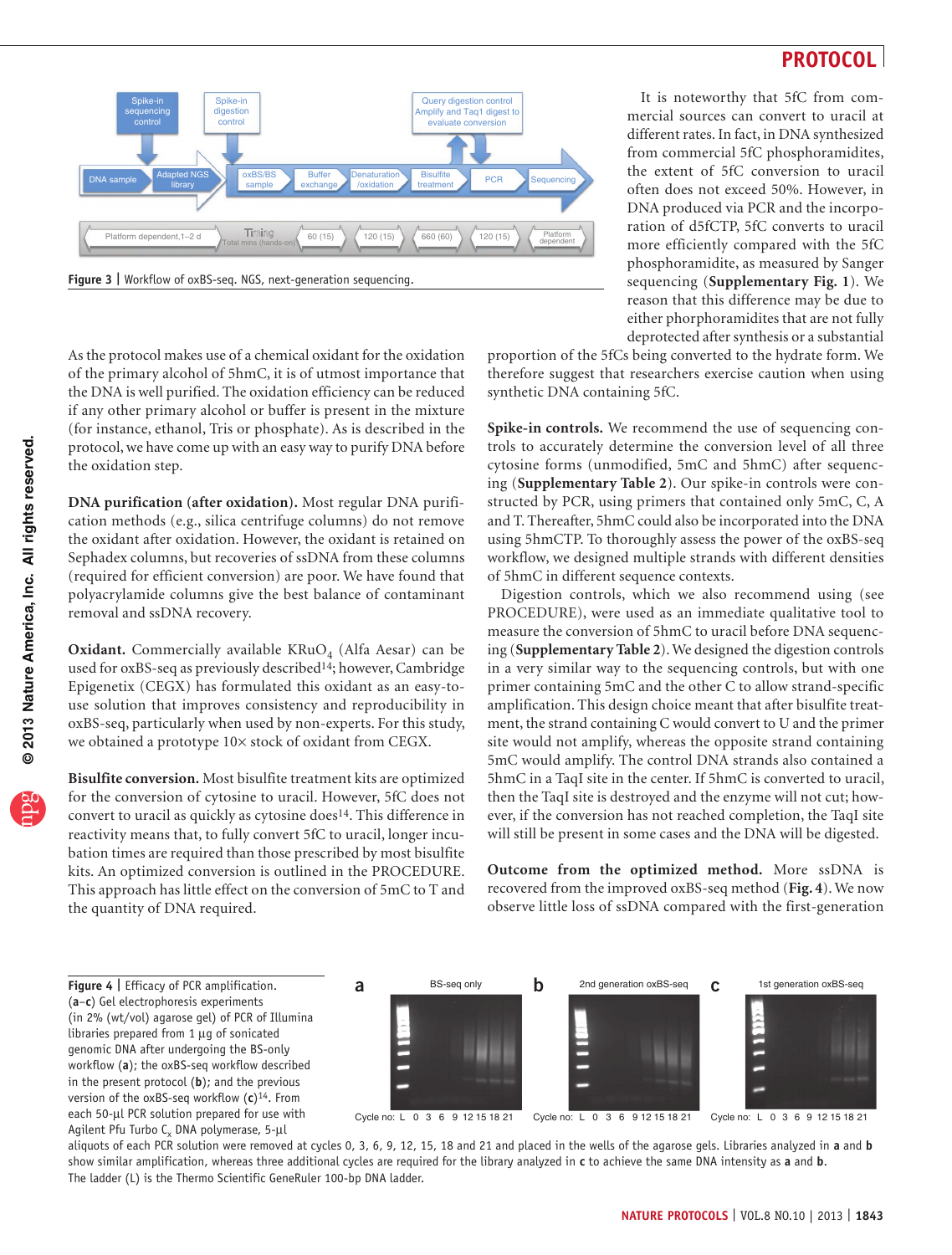

It is noteworthy that 5fC from commercial sources can convert to uracil at different rates. In fact, in DNA synthesized from commercial 5fC phosphoramidites, the extent of 5fC conversion to uracil often does not exceed 50%. However, in DNA produced via PCR and the incorporation of d5fCTP, 5fC converts to uracil more efficiently compared with the 5fC phosphoramidite, as measured by Sanger sequencing (**Supplementary Fig. 1**). We reason that this difference may be due to either phorphoramidites that are not fully deprotected after synthesis or a substantial

<span id="page-2-0"></span>As the protocol makes use of a chemical oxidant for the oxidation of the primary alcohol of 5hmC, it is of utmost importance that the DNA is well purified. The oxidation efficiency can be reduced if any other primary alcohol or buffer is present in the mixture (for instance, ethanol, Tris or phosphate). As is described in the protocol, we have come up with an easy way to purify DNA before the oxidation step.

**DNA purification (after oxidation).** Most regular DNA purification methods (e.g., silica centrifuge columns) do not remove the oxidant after oxidation. However, the oxidant is retained on Sephadex columns, but recoveries of ssDNA from these columns (required for efficient conversion) are poor. We have found that polyacrylamide columns give the best balance of contaminant removal and ssDNA recovery.

Oxidant. Commercially available KRuO<sub>4</sub> (Alfa Aesar) can be used for oxBS-seq as previously describe[d14](#page-10-7); however, Cambridge Epigenetix (CEGX) has formulated this oxidant as an easy-touse solution that improves consistency and reproducibility in oxBS-seq, particularly when used by non-experts. For this study, we obtained a prototype 10× stock of oxidant from CEGX.

**Bisulfite conversion.** Most bisulfite treatment kits are optimized for the conversion of cytosine to uracil. However, 5fC does not convert to uracil as quickly as cytosine does<sup>14</sup>. This difference in reactivity means that, to fully convert 5fC to uracil, longer incubation times are required than those prescribed by most bisulfite kits. An optimized conversion is outlined in the PROCEDURE. This approach has little effect on the conversion of 5mC to T and the quantity of DNA required.

proportion of the 5fCs being converted to the hydrate form. We therefore suggest that researchers exercise caution when using synthetic DNA containing 5fC.

**Spike-in controls.** We recommend the use of sequencing controls to accurately determine the conversion level of all three cytosine forms (unmodified, 5mC and 5hmC) after sequencing (**Supplementary Table 2**). Our spike-in controls were constructed by PCR, using primers that contained only 5mC, C, A and T. Thereafter, 5hmC could also be incorporated into the DNA using 5hmCTP. To thoroughly assess the power of the oxBS-seq workflow, we designed multiple strands with different densities of 5hmC in different sequence contexts.

Digestion controls, which we also recommend using (see PROCEDURE), were used as an immediate qualitative tool to measure the conversion of 5hmC to uracil before DNA sequencing (**Supplementary Table 2**). We designed the digestion controls in a very similar way to the sequencing controls, but with one primer containing 5mC and the other C to allow strand-specific amplification. This design choice meant that after bisulfite treatment, the strand containing C would convert to U and the primer site would not amplify, whereas the opposite strand containing 5mC would amplify. The control DNA strands also contained a 5hmC in a TaqI site in the center. If 5hmC is converted to uracil, then the TaqI site is destroyed and the enzyme will not cut; however, if the conversion has not reached completion, the TaqI site will still be present in some cases and the DNA will be digested.

**Outcome from the optimized method.** More ssDNA is recovered from the improved oxBS-seq method (**[Fig. 4](#page-2-1)**). We now observe little loss of ssDNA compared with the first-generation

<span id="page-2-1"></span>**Figure 4 |** Efficacy of PCR amplification. (**a**–**c**) Gel electrophoresis experiments (in 2% (wt/vol) agarose gel) of PCR of Illumina libraries prepared from 1 µg of sonicated genomic DNA after undergoing the BS-only workflow (**a**); the oxBS-seq workflow described in the present protocol (**b**); and the previous version of the oxBS-seq workflow (**c**[\)14](#page-10-7). From each 50-µl PCR solution prepared for use with Agilent Pfu Turbo  $C_x$  DNA polymerase, 5- $\mu$ l



aliquots of each PCR solution were removed at cycles 0, 3, 6, 9, 12, 15, 18 and 21 and placed in the wells of the agarose gels. Libraries analyzed in **a** and **b** show similar amplification, whereas three additional cycles are required for the library analyzed in **c** to achieve the same DNA intensity as **a** and **b**. The ladder (L) is the Thermo Scientific GeneRuler 100-bp DNA ladder.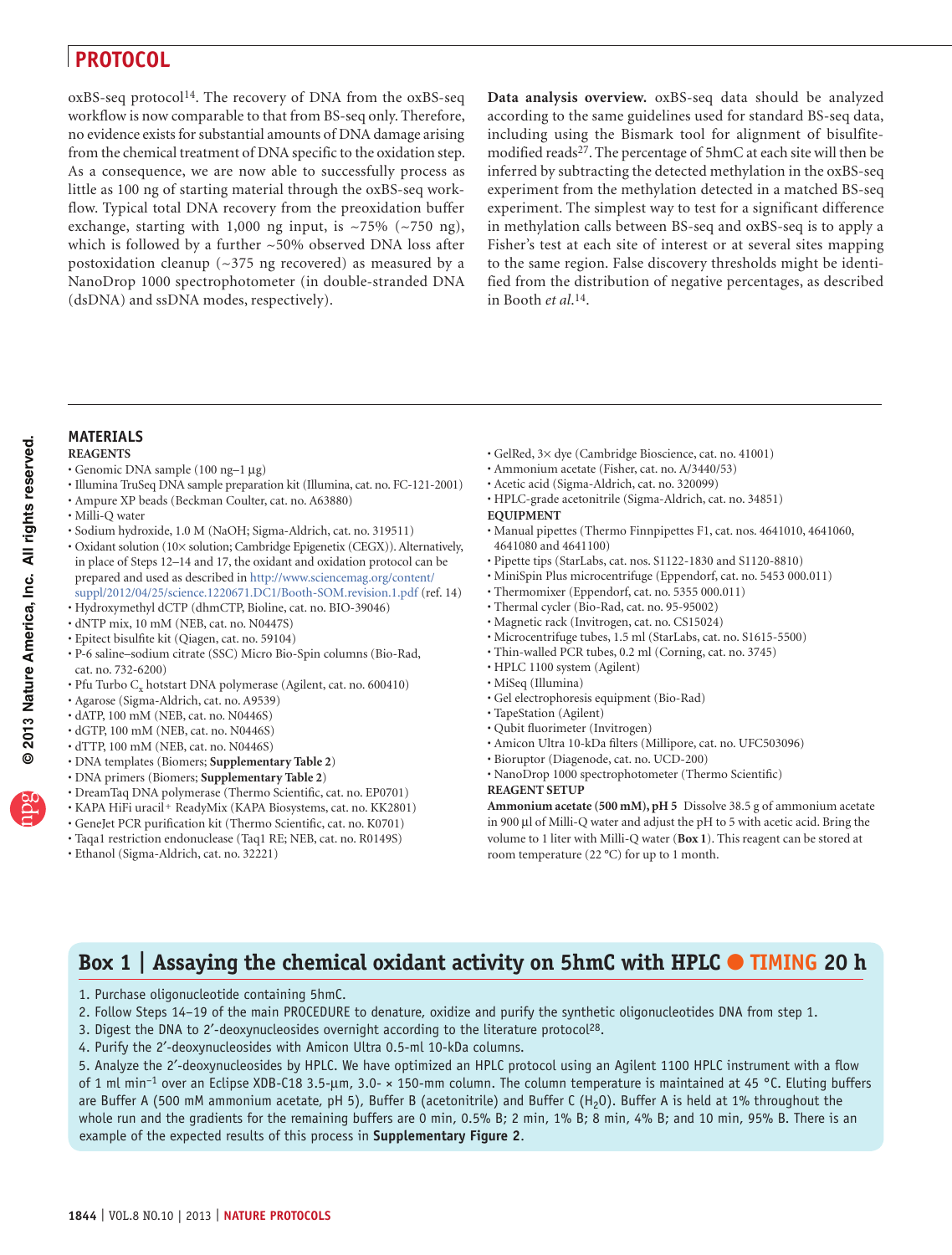oxBS-seq protocol[14.](#page-10-7) The recovery of DNA from the oxBS-seq workflow is now comparable to that from BS-seq only. Therefore, no evidence exists for substantial amounts of DNA damage arising from the chemical treatment of DNA specific to the oxidation step. As a consequence, we are now able to successfully process as little as 100 ng of starting material through the oxBS-seq workflow. Typical total DNA recovery from the preoxidation buffer exchange, starting with 1,000 ng input, is  $\sim$ 75% ( $\sim$ 750 ng), which is followed by a further ~50% observed DNA loss after postoxidation cleanup ( $\sim$ 375 ng recovered) as measured by a NanoDrop 1000 spectrophotometer (in double-stranded DNA (dsDNA) and ssDNA modes, respectively).

**Data analysis overview.** oxBS-seq data should be analyzed according to the same guidelines used for standard BS-seq data, including using the Bismark tool for alignment of bisulfite-modified reads<sup>[27](#page-10-18)</sup>. The percentage of 5hmC at each site will then be inferred by subtracting the detected methylation in the oxBS-seq experiment from the methylation detected in a matched BS-seq experiment. The simplest way to test for a significant difference in methylation calls between BS-seq and oxBS-seq is to apply a Fisher's test at each site of interest or at several sites mapping to the same region. False discovery thresholds might be identified from the distribution of negative percentages, as described in Booth *et al*.[14.](#page-10-7)

#### **MATERIALS**

#### **REAGENTS**

- Genomic DNA sample (100 ng–1 µg) •
- Illumina TruSeq DNA sample preparation kit (Illumina, cat. no. FC-121-2001)
- Ampure XP beads (Beckman Coulter, cat. no. A63880) •
- Milli-Q water •
- Sodium hydroxide, 1.0 M (NaOH; Sigma-Aldrich, cat. no. 319511)
- Oxidant solution (10× solution; Cambridge Epigenetix (CEGX)). Alternatively, in place of Steps 12–14 and 17, the oxidant and oxidation protocol can be prepared and used as described in [http://www.sciencemag.org/content/](http://www.sciencemag.org/content/suppl/2012/04/25/science.1220671.DC1/Booth-SOM.revision.1.pdf) [suppl/2012/04/25/science.1220671.DC1/Booth-SOM.revision.1.pdf](http://www.sciencemag.org/content/suppl/2012/04/25/science.1220671.DC1/Booth-SOM.revision.1.pdf) (ref. [14](#page-10-7))
- Hydroxymethyl dCTP (dhmCTP, Bioline, cat. no. BIO-39046) •
- dNTP mix, 10 mM (NEB, cat. no. N0447S) •
- Epitect bisulfite kit (Qiagen, cat. no. 59104) •
- P-6 saline–sodium citrate (SSC) Micro Bio-Spin columns (Bio-Rad, cat. no. 732-6200)
- Pfu Turbo $\mathrm{C}_{\mathrm{x}}$ hotstart DNA polymerase (Agilent, cat. no. 600410)
- Agarose (Sigma-Aldrich, cat. no. A9539) •
- dATP, 100 mM (NEB, cat. no. N0446S)
- dGTP, 100 mM (NEB, cat. no. N0446S) •
- dTTP, 100 mM (NEB, cat. no. N0446S) •
- DNA templates (Biomers; **Supplementary Table 2**) •
- DNA primers (Biomers; **Supplementary Table 2**) •
- DreamTaq DNA polymerase (Thermo Scientific, cat. no. EP0701) •
- KAPA HiFi uracil<sup>+</sup> ReadyMix (KAPA Biosystems, cat. no. KK2801)
- GeneJet PCR purification kit (Thermo Scientific, cat. no. K0701) •
- Taqa1 restriction endonuclease (Taq1 RE; NEB, cat. no. R0149S) •
- Ethanol (Sigma-Aldrich, cat. no. 32221) •
- GelRed, 3× dye (Cambridge Bioscience, cat. no. 41001) •
- Ammonium acetate (Fisher, cat. no. A/3440/53) •
- Acetic acid (Sigma-Aldrich, cat. no. 320099) •
- HPLC-grade acetonitrile (Sigma-Aldrich, cat. no. 34851) •
- **EQUIPMENT**
- Manual pipettes (Thermo Finnpipettes F1, cat. nos. 4641010, 4641060, 4641080 and 4641100)
- Pipette tips (StarLabs, cat. nos. S1122-1830 and S1120-8810)
- MiniSpin Plus microcentrifuge (Eppendorf, cat. no. 5453 000.011)
- Thermomixer (Eppendorf, cat. no. 5355 000.011) •
- Thermal cycler (Bio-Rad, cat. no. 95-95002) •
- Magnetic rack (Invitrogen, cat. no. CS15024) •
- Microcentrifuge tubes, 1.5 ml (StarLabs, cat. no. S1615-5500) •
- Thin-walled PCR tubes, 0.2 ml (Corning, cat. no. 3745) •
- HPLC 1100 system (Agilent) •
- MiSeq (Illumina) •
- Gel electrophoresis equipment (Bio-Rad) •
- TapeStation (Agilent) •
- Qubit fluorimeter (Invitrogen) •
- Amicon Ultra 10-kDa filters (Millipore, cat. no. UFC503096) •
- Bioruptor (Diagenode, cat. no. UCD-200) •
- NanoDrop 1000 spectrophotometer (Thermo Scientific) •
- **REAGENT SETUP**

**Ammonium acetate (500 mM), pH 5** Dissolve 38.5 g of ammonium acetate in 900 µl of Milli-Q water and adjust the pH to 5 with acetic acid. Bring the volume to 1 liter with Milli-Q water (**[Box 1](#page-3-0)**). This reagent can be stored at room temperature (22 °C) for up to 1 month.

# <span id="page-3-0"></span>**Box 1 | Assaying the chemical oxidant activity on 5hmC with HPLC** ● **TIMING 20 h**

- 1. Purchase oligonucleotide containing 5hmC.
- 2. Follow Steps 14–19 of the main PROCEDURE to denature, oxidize and purify the synthetic oligonucleotides DNA from step 1.
- 3. Digest the DNA to 2'-deoxynucleosides overnight according to the literature protocol<sup>28</sup>.
- 4. Purify the 2′-deoxynucleosides with Amicon Ultra 0.5-ml 10-kDa columns.

5. Analyze the 2′-deoxynucleosides by HPLC. We have optimized an HPLC protocol using an Agilent 1100 HPLC instrument with a flow of 1 ml min–1 over an Eclipse XDB-C18 3.5-µm, 3.0- × 150-mm column. The column temperature is maintained at 45 °C. Eluting buffers are Buffer A (500 mM ammonium acetate, pH 5), Buffer B (acetonitrile) and Buffer C (H<sub>2</sub>O). Buffer A is held at 1% throughout the whole run and the gradients for the remaining buffers are 0 min, 0.5% B; 2 min, 1% B; 8 min, 4% B; and 10 min, 95% B. There is an example of the expected results of this process in **Supplementary Figure 2**.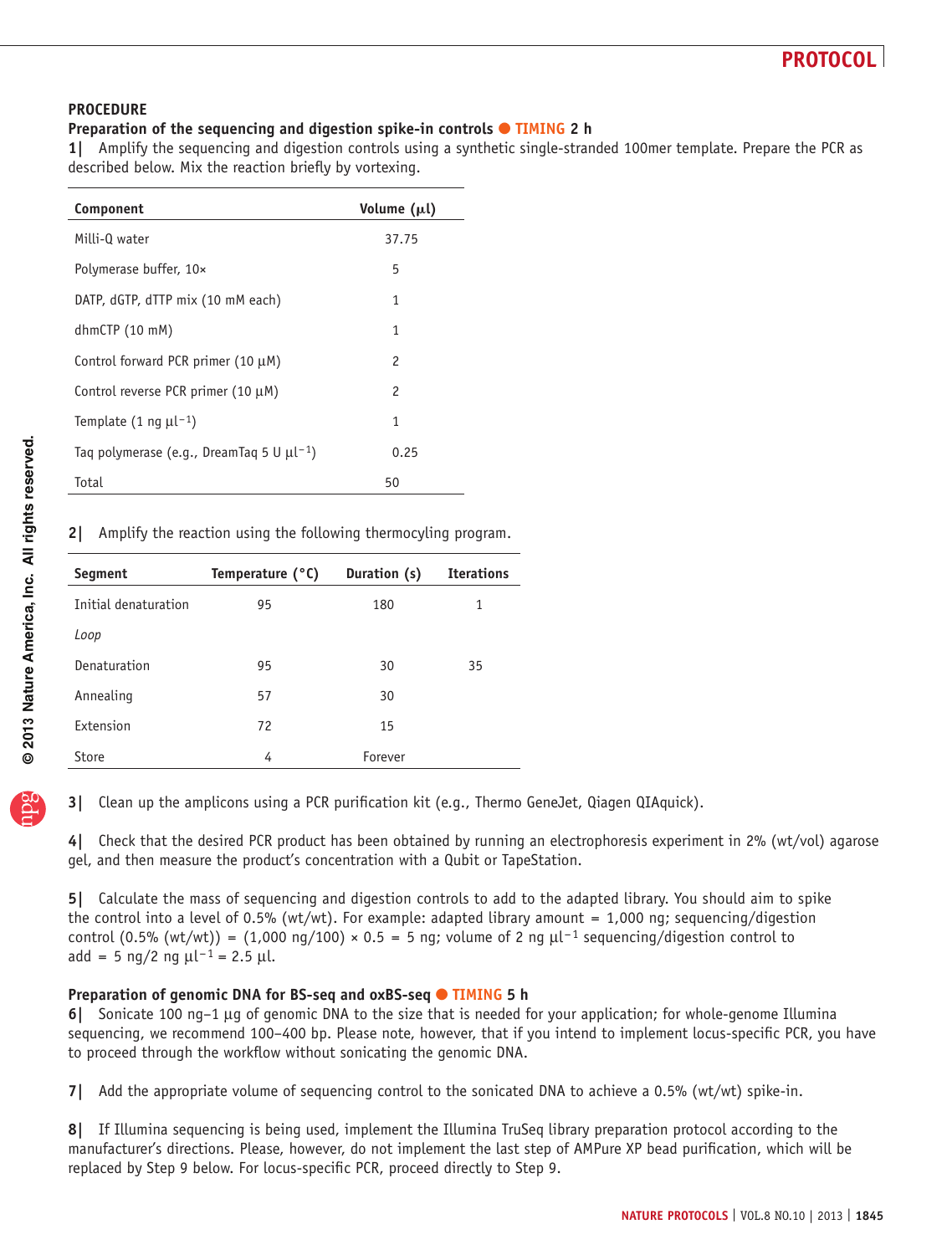#### **PROCEDURE**

### **Preparation of the sequencing and digestion spike-in controls ● TIMING 2 h**

**1|** Amplify the sequencing and digestion controls using a synthetic single-stranded 100mer template. Prepare the PCR as described below. Mix the reaction briefly by vortexing.

| Component                                                  | Volume $(\mu l)$ |
|------------------------------------------------------------|------------------|
| Milli-Q water                                              | 37.75            |
| Polymerase buffer, 10×                                     | 5                |
| DATP, dGTP, dTTP mix (10 mM each)                          | 1                |
| dhmCTP(10~mM)                                              | 1                |
| Control forward PCR primer (10 µM)                         | 2                |
| Control reverse PCR primer (10 $\mu$ M)                    | 2                |
| Template $(1 \text{ ng } \mu^{-1})$                        | 1                |
| Tag polymerase (e.g., DreamTag 5 U $\mu$ l <sup>-1</sup> ) | 0.25             |
| Total                                                      | 50               |

**2|** Amplify the reaction using the following thermocyling program.

| Segment              | Temperature $(°C)$ | Duration (s) | <b>Iterations</b> |
|----------------------|--------------------|--------------|-------------------|
| Initial denaturation | 95                 | 180          | 1                 |
| Loop                 |                    |              |                   |
| Denaturation         | 95                 | 30           | 35                |
| Annealing            | 57                 | 30           |                   |
| Extension            | 72                 | 15           |                   |
| Store                | 4                  | Forever      |                   |

**3|** Clean up the amplicons using a PCR purification kit (e.g., Thermo GeneJet, Qiagen QIAquick).

**4|** Check that the desired PCR product has been obtained by running an electrophoresis experiment in 2% (wt/vol) agarose gel, and then measure the product's concentration with a Qubit or TapeStation.

**5|** Calculate the mass of sequencing and digestion controls to add to the adapted library. You should aim to spike the control into a level of 0.5% (wt/wt). For example: adapted library amount = 1,000 ng; sequencing/digestion control (0.5% (wt/wt)) = (1,000 ng/100) × 0.5 = 5 ng; volume of 2 ng  $\mu$ l<sup>-1</sup> sequencing/digestion control to add = 5 ng/2 ng  $\mu l^{-1}$  = 2.5  $\mu l$ .

### **Preparation of genomic DNA for BS-seq and oxBS-seq ● TIMING 5 h**

**6|** Sonicate 100 ng–1 µg of genomic DNA to the size that is needed for your application; for whole-genome Illumina sequencing, we recommend 100–400 bp. Please note, however, that if you intend to implement locus-specific PCR, you have to proceed through the workflow without sonicating the genomic DNA.

**7|** Add the appropriate volume of sequencing control to the sonicated DNA to achieve a 0.5% (wt/wt) spike-in.

**8|** If Illumina sequencing is being used, implement the Illumina TruSeq library preparation protocol according to the manufacturer's directions. Please, however, do not implement the last step of AMPure XP bead purification, which will be replaced by Step 9 below. For locus-specific PCR, proceed directly to Step 9.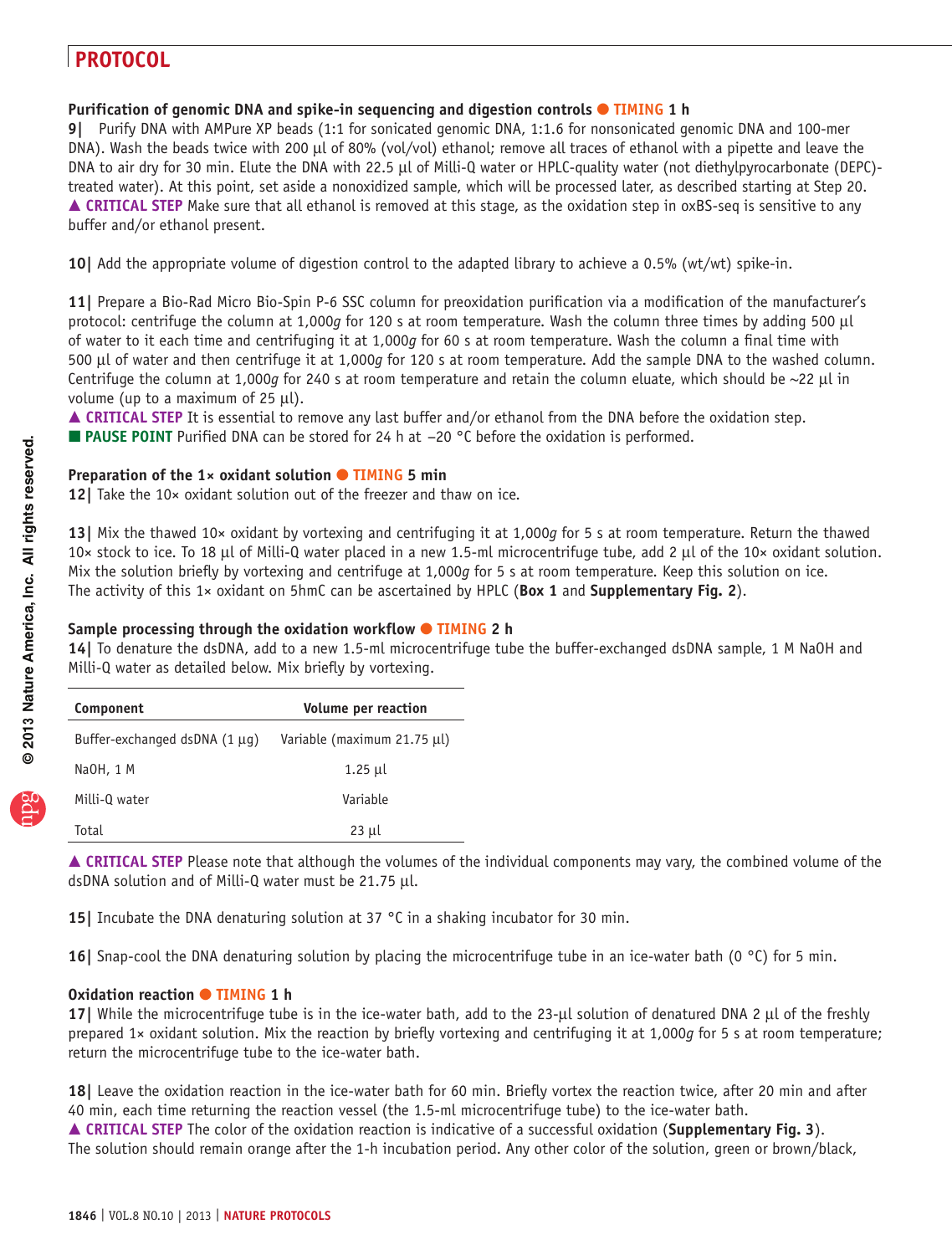### **Purification of genomic DNA and spike-in sequencing and digestion controls ● TIMING 1 h**

**9|** Purify DNA with AMPure XP beads (1:1 for sonicated genomic DNA, 1:1.6 for nonsonicated genomic DNA and 100-mer DNA). Wash the beads twice with 200 µl of 80% (vol/vol) ethanol; remove all traces of ethanol with a pipette and leave the DNA to air dry for 30 min. Elute the DNA with 22.5 µl of Milli-Q water or HPLC-quality water (not diethylpyrocarbonate (DEPC)treated water). At this point, set aside a nonoxidized sample, which will be processed later, as described starting at Step 20. **△ CRITICAL STEP** Make sure that all ethanol is removed at this stage, as the oxidation step in oxBS-seq is sensitive to any buffer and/or ethanol present.

**10|** Add the appropriate volume of digestion control to the adapted library to achieve a 0.5% (wt/wt) spike-in.

**11|** Prepare a Bio-Rad Micro Bio-Spin P-6 SSC column for preoxidation purification via a modification of the manufacturer's protocol: centrifuge the column at 1,000*g* for 120 s at room temperature. Wash the column three times by adding 500 µl of water to it each time and centrifuging it at 1,000*g* for 60 s at room temperature. Wash the column a final time with 500 µl of water and then centrifuge it at 1,000*g* for 120 s at room temperature. Add the sample DNA to the washed column. Centrifuge the column at 1,000*g* for 240 s at room temperature and retain the column eluate, which should be ~22 µl in volume (up to a maximum of 25  $\mu$ l).

**CRITICAL STEP** It is essential to remove any last buffer and/or ethanol from the DNA before the oxidation step.

■ **PAUSE POINT** Purified DNA can be stored for 24 h at -20 °C before the oxidation is performed.

### **Preparation of the 1× oxidant solution ● TIMING 5 min**

**12|** Take the 10× oxidant solution out of the freezer and thaw on ice.

**13|** Mix the thawed 10× oxidant by vortexing and centrifuging it at 1,000*g* for 5 s at room temperature. Return the thawed 10× stock to ice. To 18 µl of Milli-Q water placed in a new 1.5-ml microcentrifuge tube, add 2 µl of the 10× oxidant solution. Mix the solution briefly by vortexing and centrifuge at 1,000*g* for 5 s at room temperature. Keep this solution on ice. The activity of this 1× oxidant on 5hmC can be ascertained by HPLC (**[Box 1](#page-3-0)** and **Supplementary Fig. 2**).

### **Sample processing through the oxidation workflow** ● **TIMING 2 h**

**14|** To denature the dsDNA, add to a new 1.5-ml microcentrifuge tube the buffer-exchanged dsDNA sample, 1 M NaOH and Milli-Q water as detailed below. Mix briefly by vortexing.

| Component                          | Volume per reaction         |
|------------------------------------|-----------------------------|
| Buffer-exchanged dsDNA $(1 \mu q)$ | Variable (maximum 21.75 µl) |
| NaOH, 1 M                          | 1.25 µl                     |
| Milli-Q water                      | Variable                    |
| Total                              | $23 \mu l$                  |

 **CRITICAL STEP** Please note that although the volumes of the individual components may vary, the combined volume of the dsDNA solution and of Milli-Q water must be 21.75 µl.

**15|** Incubate the DNA denaturing solution at 37 °C in a shaking incubator for 30 min.

**16|** Snap-cool the DNA denaturing solution by placing the microcentrifuge tube in an ice-water bath (0 °C) for 5 min.

### **Oxidation reaction ● TIMING 1 h**

**17** While the microcentrifuge tube is in the ice-water bath, add to the 23-µl solution of denatured DNA 2 µl of the freshly prepared 1× oxidant solution. Mix the reaction by briefly vortexing and centrifuging it at 1,000*g* for 5 s at room temperature; return the microcentrifuge tube to the ice-water bath.

**18|** Leave the oxidation reaction in the ice-water bath for 60 min. Briefly vortex the reaction twice, after 20 min and after 40 min, each time returning the reaction vessel (the 1.5-ml microcentrifuge tube) to the ice-water bath. **CRITICAL STEP** The color of the oxidation reaction is indicative of a successful oxidation (**Supplementary Fig. 3**). The solution should remain orange after the 1-h incubation period. Any other color of the solution, green or brown/black,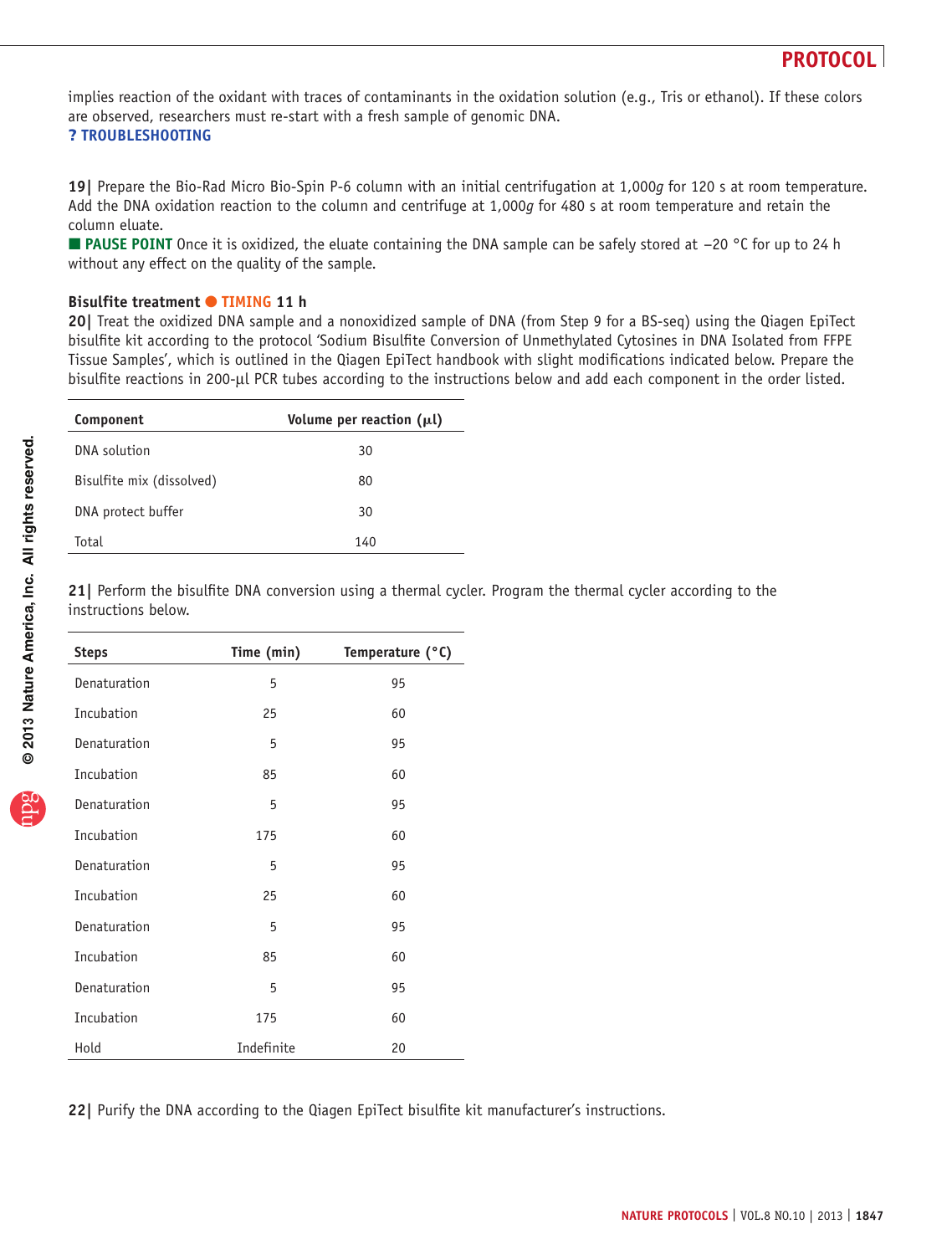implies reaction of the oxidant with traces of contaminants in the oxidation solution (e.g., Tris or ethanol). If these colors are observed, researchers must re-start with a fresh sample of genomic DNA.

### ? **TROUBLESHOOTING**

**19|** Prepare the Bio-Rad Micro Bio-Spin P-6 column with an initial centrifugation at 1,000*g* for 120 s at room temperature. Add the DNA oxidation reaction to the column and centrifuge at 1,000*g* for 480 s at room temperature and retain the column eluate.

 **PAUSE POINT** Once it is oxidized, the eluate containing the DNA sample can be safely stored at −20 °C for up to 24 h without any effect on the quality of the sample.

#### **Bisulfite treatment** ● **TIMING 11 h**

**20|** Treat the oxidized DNA sample and a nonoxidized sample of DNA (from Step 9 for a BS-seq) using the Qiagen EpiTect bisulfite kit according to the protocol 'Sodium Bisulfite Conversion of Unmethylated Cytosines in DNA Isolated from FFPE Tissue Samples', which is outlined in the Qiagen EpiTect handbook with slight modifications indicated below. Prepare the bisulfite reactions in 200-µl PCR tubes according to the instructions below and add each component in the order listed.

| Component                 | Volume per reaction $(\mu l)$ |
|---------------------------|-------------------------------|
| DNA solution              | 30                            |
| Bisulfite mix (dissolved) | 80                            |
| DNA protect buffer        | 30                            |
| Total                     | 140                           |

**21|** Perform the bisulfite DNA conversion using a thermal cycler. Program the thermal cycler according to the instructions below.

| <b>Steps</b> | Time (min) | Temperature (°C) |
|--------------|------------|------------------|
| Denaturation | 5          | 95               |
| Incubation   | 25         | 60               |
| Denaturation | 5          | 95               |
| Incubation   | 85         | 60               |
| Denaturation | 5          | 95               |
| Incubation   | 175        | 60               |
| Denaturation | 5          | 95               |
| Incubation   | 25         | 60               |
| Denaturation | 5          | 95               |
| Incubation   | 85         | 60               |
| Denaturation | 5          | 95               |
| Incubation   | 175        | 60               |
| Hold         | Indefinite | 20               |

**22|** Purify the DNA according to the Qiagen EpiTect bisulfite kit manufacturer's instructions.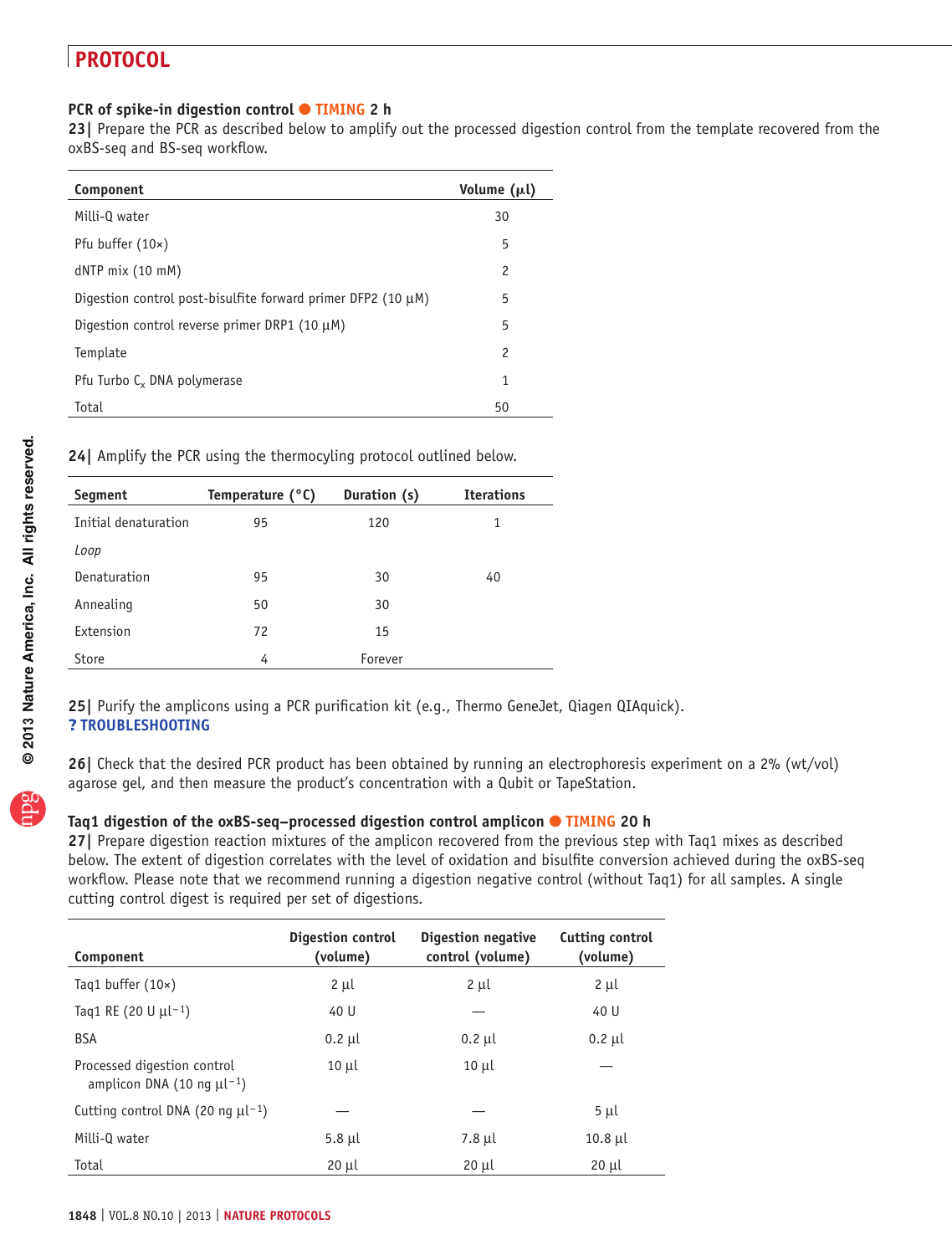### **PCR of spike-in digestion control ● TIMING 2 h**

**23|** Prepare the PCR as described below to amplify out the processed digestion control from the template recovered from the oxBS-seq and BS-seq workflow.

| Component                                                         | Volume (µl)    |
|-------------------------------------------------------------------|----------------|
| Milli-Q water                                                     | 30             |
| Pfu buffer $(10x)$                                                | 5              |
| $dNTP$ mix $(10$ mM)                                              | $\overline{c}$ |
| Digestion control post-bisulfite forward primer DFP2 (10 $\mu$ M) | 5              |
| Digestion control reverse primer DRP1 (10 $\mu$ M)                | 5              |
| Template                                                          | $\overline{c}$ |
| Pfu Turbo C <sub>v</sub> DNA polymerase                           | 1              |
| Total                                                             | 50             |

**24|** Amplify the PCR using the thermocyling protocol outlined below.

| Segment              | Temperature (°C) | Duration (s) | <b>Iterations</b> |
|----------------------|------------------|--------------|-------------------|
| Initial denaturation | 95               | 120          | 1                 |
| Loop                 |                  |              |                   |
| Denaturation         | 95               | 30           | 40                |
| Annealing            | 50               | 30           |                   |
| Extension            | 72               | 15           |                   |
| Store                | 4                | Forever      |                   |

**25|** Purify the amplicons using a PCR purification kit (e.g., Thermo GeneJet, Qiagen QIAquick). ? **TROUBLESHOOTING**

**26|** Check that the desired PCR product has been obtained by running an electrophoresis experiment on a 2% (wt/vol) agarose gel, and then measure the product's concentration with a Qubit or TapeStation.

#### **Taq1 digestion of the oxBS-seq–processed digestion control amplicon** ● **TIMING 20 h**

**27|** Prepare digestion reaction mixtures of the amplicon recovered from the previous step with Taq1 mixes as described below. The extent of digestion correlates with the level of oxidation and bisulfite conversion achieved during the oxBS-seq workflow. Please note that we recommend running a digestion negative control (without Taq1) for all samples. A single cutting control digest is required per set of digestions.

| Component                                                                  | Digestion control<br>(volume) | Digestion negative<br>control (volume) | Cutting control<br>(volume) |
|----------------------------------------------------------------------------|-------------------------------|----------------------------------------|-----------------------------|
| Tag1 buffer $(10x)$                                                        | $2 \mu l$                     | $2 \mu l$                              | $2 \mu l$                   |
| Taq1 RE (20 U $\mu$ l <sup>-1</sup> )                                      | 40 U                          |                                        | 40 U                        |
| <b>BSA</b>                                                                 | $0.2$ µl                      | $0.2$ µl                               | $0.2$ µl                    |
| Processed digestion control<br>amplicon DNA (10 ng $\mu$ l <sup>-1</sup> ) | $10$ $\mu$                    | $10 \mu$                               |                             |
| Cutting control DNA (20 ng $\mu$ l <sup>-1</sup> )                         |                               |                                        | $5 \mu l$                   |
| Milli-Q water                                                              | $5.8$ µl                      | 7.8 µl                                 | $10.8$ µl                   |
| Total                                                                      | $20 \mu l$                    | 20 µl                                  | 20 µl                       |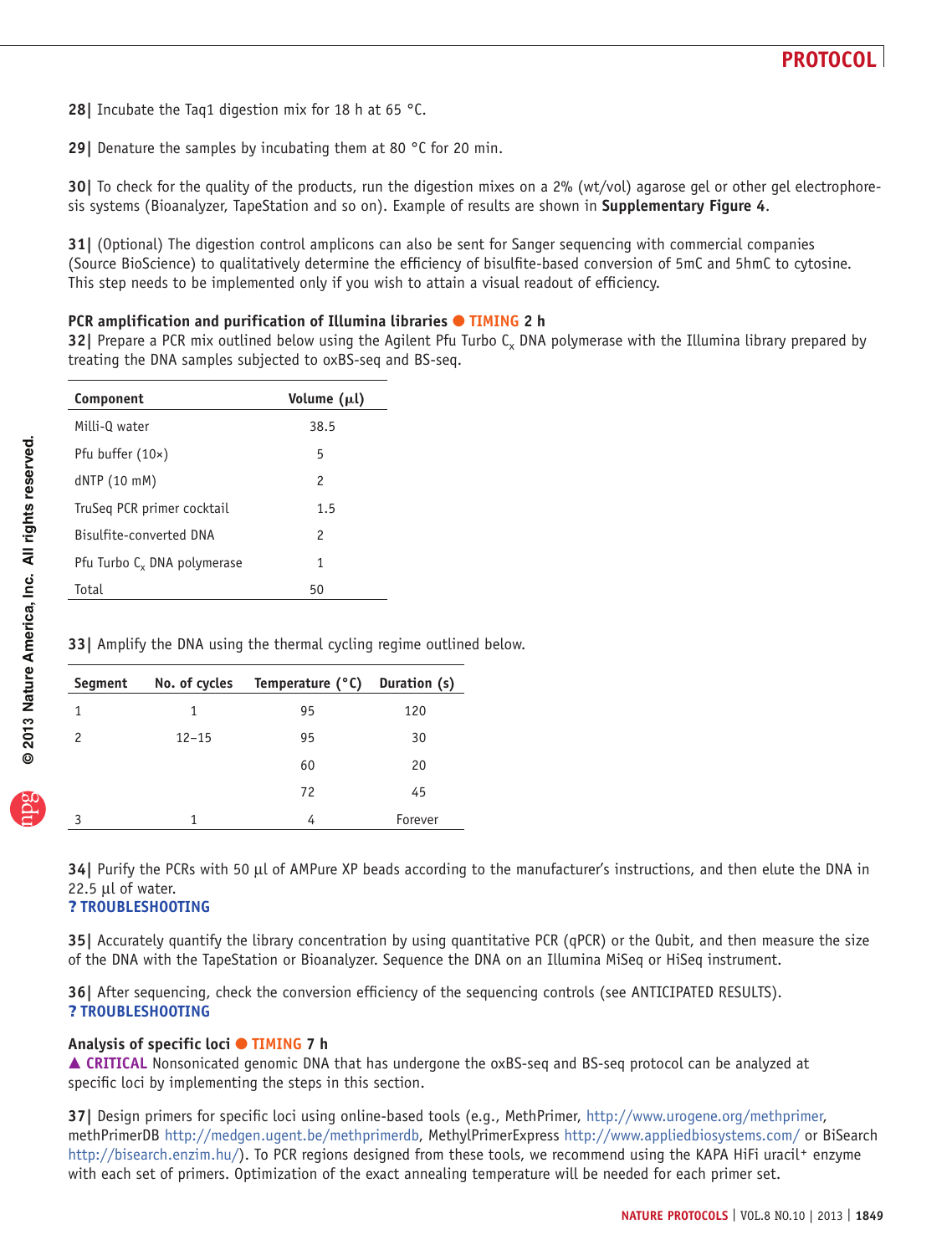- **28|** Incubate the Taq1 digestion mix for 18 h at 65 °C.
- **29|** Denature the samples by incubating them at 80 °C for 20 min.

**30|** To check for the quality of the products, run the digestion mixes on a 2% (wt/vol) agarose gel or other gel electrophoresis systems (Bioanalyzer, TapeStation and so on). Example of results are shown in **Supplementary Figure 4**.

**31|** (Optional) The digestion control amplicons can also be sent for Sanger sequencing with commercial companies (Source BioScience) to qualitatively determine the efficiency of bisulfite-based conversion of 5mC and 5hmC to cytosine. This step needs to be implemented only if you wish to attain a visual readout of efficiency.

#### **PCR amplification and purification of Illumina libraries ● TIMING 2 h**

**32** Prepare a PCR mix outlined below using the Agilent Pfu Turbo C<sub>x</sub> DNA polymerase with the Illumina library prepared by treating the DNA samples subjected to oxBS-seq and BS-seq.

| Component                               | Volume (µl)   |
|-----------------------------------------|---------------|
| Milli-0 water                           | 38.5          |
| Pfu buffer (10x)                        | 5             |
| $dNTP(10$ mM)                           | $\mathcal{P}$ |
| TruSeg PCR primer cocktail              | 1.5           |
| Bisulfite-converted DNA                 | 2             |
| Pfu Turbo C <sub>v</sub> DNA polymerase | 1             |
| Total                                   | 50            |

**33|** Amplify the DNA using the thermal cycling regime outlined below.

| Segment | No. of cycles | Temperature (°C) | Duration (s) |
|---------|---------------|------------------|--------------|
| 1       | 1             | 95               | 120          |
| 2       | $12 - 15$     | 95               | 30           |
|         |               | 60               | 20           |
|         |               | 72               | 45           |
| २       | 1             | 4                | Forever      |

**34|** Purify the PCRs with 50 µl of AMPure XP beads according to the manufacturer's instructions, and then elute the DNA in 22.5 µl of water.

#### ? **TROUBLESHOOTING**

**35|** Accurately quantify the library concentration by using quantitative PCR (qPCR) or the Qubit, and then measure the size of the DNA with the TapeStation or Bioanalyzer. Sequence the DNA on an Illumina MiSeq or HiSeq instrument.

**36|** After sequencing, check the conversion efficiency of the sequencing controls (see ANTICIPATED RESULTS). ? **TROUBLESHOOTING**

#### **Analysis of specific loci** ● **TIMING 7 h**

■ CRITICAL Nonsonicated genomic DNA that has undergone the oxBS-seq and BS-seq protocol can be analyzed at specific loci by implementing the steps in this section.

**37|** Design primers for specific loci using online-based tools (e.g., MethPrimer, <http://www.urogene.org/methprimer>, methPrimerDB <http://medgen.ugent.be/methprimerdb>, MethylPrimerExpress<http://www.appliedbiosystems.com/> or BiSearch <http://bisearch.enzim.hu/>). To PCR regions designed from these tools, we recommend using the KAPA HiFi uracil<sup>+</sup> enzyme with each set of primers. Optimization of the exact annealing temperature will be needed for each primer set.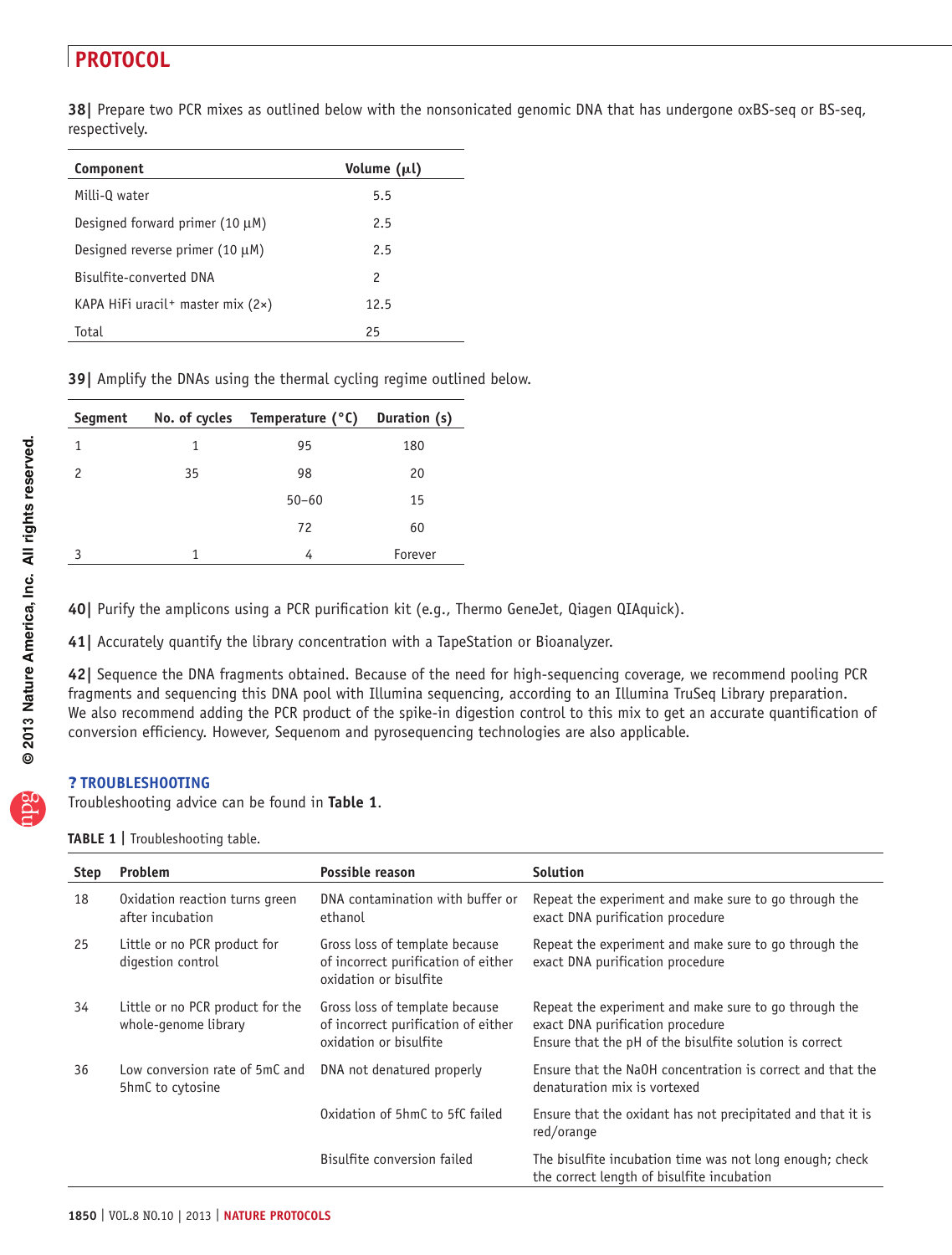**38|** Prepare two PCR mixes as outlined below with the nonsonicated genomic DNA that has undergone oxBS-seq or BS-seq, respectively.

| Component                                  | Volume (µl) |
|--------------------------------------------|-------------|
| Milli-Q water                              | 5.5         |
| Designed forward primer $(10 \mu M)$       | 2.5         |
| Designed reverse primer $(10 \mu M)$       | 2.5         |
| Bisulfite-converted DNA                    | 2           |
| KAPA HiFi uracil + master mix $(2 \times)$ | 12.5        |
| Total                                      | 25          |

**39|** Amplify the DNAs using the thermal cycling regime outlined below.

| Segment | No. of cycles | Temperature (°C) | Duration (s) |
|---------|---------------|------------------|--------------|
| 1       | 1             | 95               | 180          |
| 2       | 35            | 98               | 20           |
|         |               | $50 - 60$        | 15           |
|         |               | 72               | 60           |
| ς       | 1             | 4                | Forever      |

**40|** Purify the amplicons using a PCR purification kit (e.g., Thermo GeneJet, Qiagen QIAquick).

**41|** Accurately quantify the library concentration with a TapeStation or Bioanalyzer.

**42|** Sequence the DNA fragments obtained. Because of the need for high-sequencing coverage, we recommend pooling PCR fragments and sequencing this DNA pool with Illumina sequencing, according to an Illumina TruSeq Library preparation. We also recommend adding the PCR product of the spike-in digestion control to this mix to get an accurate quantification of conversion efficiency. However, Sequenom and pyrosequencing technologies are also applicable.

#### ? **TROUBLESHOOTING**

Troubleshooting advice can be found in **[Table 1](#page-9-0)**.

<span id="page-9-0"></span>**TABLE 1** | Troubleshooting table.

| <b>Step</b> | <b>Problem</b>                                           | Possible reason                                                                                 | <b>Solution</b>                                                                                                                                      |
|-------------|----------------------------------------------------------|-------------------------------------------------------------------------------------------------|------------------------------------------------------------------------------------------------------------------------------------------------------|
| 18          | Oxidation reaction turns green<br>after incubation       | DNA contamination with buffer or<br>ethanol                                                     | Repeat the experiment and make sure to go through the<br>exact DNA purification procedure                                                            |
| 25          | Little or no PCR product for<br>digestion control        | Gross loss of template because<br>of incorrect purification of either<br>oxidation or bisulfite | Repeat the experiment and make sure to go through the<br>exact DNA purification procedure                                                            |
| 34          | Little or no PCR product for the<br>whole-genome library | Gross loss of template because<br>of incorrect purification of either<br>oxidation or bisulfite | Repeat the experiment and make sure to go through the<br>exact DNA purification procedure<br>Ensure that the pH of the bisulfite solution is correct |
| 36          | Low conversion rate of 5mC and<br>5hmC to cytosine       | DNA not denatured properly                                                                      | Ensure that the NaOH concentration is correct and that the<br>denaturation mix is vortexed                                                           |
|             |                                                          | Oxidation of 5hmC to 5fC failed                                                                 | Ensure that the oxidant has not precipitated and that it is<br>red/orange                                                                            |
|             |                                                          | Bisulfite conversion failed                                                                     | The bisulfite incubation time was not long enough; check<br>the correct length of bisulfite incubation                                               |